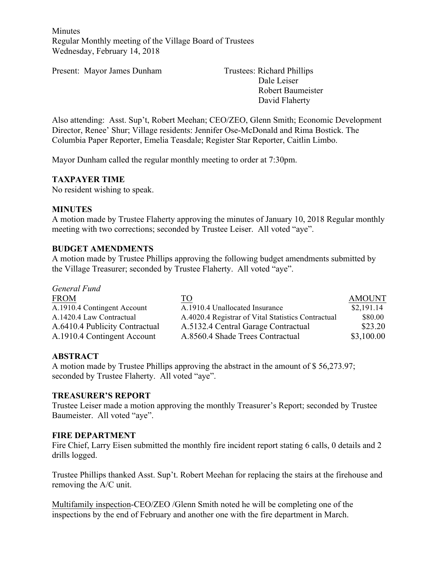**Minutes** Regular Monthly meeting of the Village Board of Trustees Wednesday, February 14, 2018

Present: Mayor James Dunham Trustees: Richard Phillips

Dale Leiser Robert Baumeister David Flaherty

Also attending: Asst. Sup't, Robert Meehan; CEO/ZEO, Glenn Smith; Economic Development Director, Renee' Shur; Village residents: Jennifer Ose-McDonald and Rima Bostick. The Columbia Paper Reporter, Emelia Teasdale; Register Star Reporter, Caitlin Limbo.

Mayor Dunham called the regular monthly meeting to order at 7:30pm.

### **TAXPAYER TIME**

No resident wishing to speak.

### **MINUTES**

A motion made by Trustee Flaherty approving the minutes of January 10, 2018 Regular monthly meeting with two corrections; seconded by Trustee Leiser. All voted "aye".

### **BUDGET AMENDMENTS**

A motion made by Trustee Phillips approving the following budget amendments submitted by the Village Treasurer; seconded by Trustee Flaherty. All voted "aye".

| General Fund                   |                                                    |               |
|--------------------------------|----------------------------------------------------|---------------|
| <b>FROM</b>                    | TO                                                 | <b>AMOUNT</b> |
| A.1910.4 Contingent Account    | A.1910.4 Unallocated Insurance                     | \$2,191.14    |
| A.1420.4 Law Contractual       | A.4020.4 Registrar of Vital Statistics Contractual | \$80.00       |
| A.6410.4 Publicity Contractual | A.5132.4 Central Garage Contractual                | \$23.20       |
| A.1910.4 Contingent Account    | A.8560.4 Shade Trees Contractual                   | \$3,100.00    |

## **ABSTRACT**

A motion made by Trustee Phillips approving the abstract in the amount of \$ 56,273.97; seconded by Trustee Flaherty. All voted "aye".

#### **TREASURER'S REPORT**

Trustee Leiser made a motion approving the monthly Treasurer's Report; seconded by Trustee Baumeister. All voted "aye".

#### **FIRE DEPARTMENT**

Fire Chief, Larry Eisen submitted the monthly fire incident report stating 6 calls, 0 details and 2 drills logged.

Trustee Phillips thanked Asst. Sup't. Robert Meehan for replacing the stairs at the firehouse and removing the A/C unit.

Multifamily inspection-CEO/ZEO /Glenn Smith noted he will be completing one of the inspections by the end of February and another one with the fire department in March.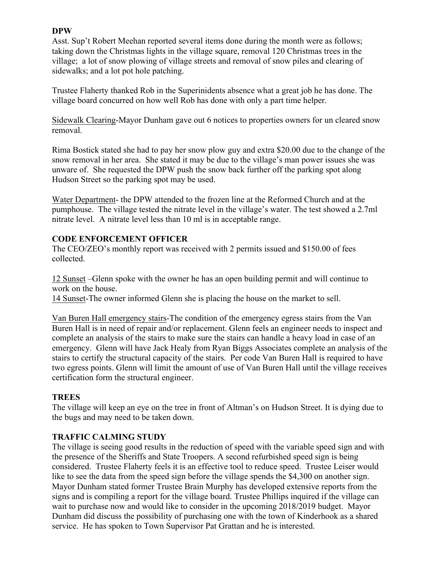### **DPW**

Asst. Sup't Robert Meehan reported several items done during the month were as follows; taking down the Christmas lights in the village square, removal 120 Christmas trees in the village; a lot of snow plowing of village streets and removal of snow piles and clearing of sidewalks; and a lot pot hole patching.

Trustee Flaherty thanked Rob in the Superinidents absence what a great job he has done. The village board concurred on how well Rob has done with only a part time helper.

Sidewalk Clearing-Mayor Dunham gave out 6 notices to properties owners for un cleared snow removal.

Rima Bostick stated she had to pay her snow plow guy and extra \$20.00 due to the change of the snow removal in her area. She stated it may be due to the village's man power issues she was unware of. She requested the DPW push the snow back further off the parking spot along Hudson Street so the parking spot may be used.

Water Department- the DPW attended to the frozen line at the Reformed Church and at the pumphouse. The village tested the nitrate level in the village's water. The test showed a 2.7ml nitrate level. A nitrate level less than 10 ml is in acceptable range.

#### **CODE ENFORCEMENT OFFICER**

The CEO/ZEO's monthly report was received with 2 permits issued and \$150.00 of fees collected.

12 Sunset –Glenn spoke with the owner he has an open building permit and will continue to work on the house.

14 Sunset-The owner informed Glenn she is placing the house on the market to sell.

Van Buren Hall emergency stairs-The condition of the emergency egress stairs from the Van Buren Hall is in need of repair and/or replacement. Glenn feels an engineer needs to inspect and complete an analysis of the stairs to make sure the stairs can handle a heavy load in case of an emergency. Glenn will have Jack Healy from Ryan Biggs Associates complete an analysis of the stairs to certify the structural capacity of the stairs. Per code Van Buren Hall is required to have two egress points. Glenn will limit the amount of use of Van Buren Hall until the village receives certification form the structural engineer.

#### **TREES**

The village will keep an eye on the tree in front of Altman's on Hudson Street. It is dying due to the bugs and may need to be taken down.

#### **TRAFFIC CALMING STUDY**

The village is seeing good results in the reduction of speed with the variable speed sign and with the presence of the Sheriffs and State Troopers. A second refurbished speed sign is being considered. Trustee Flaherty feels it is an effective tool to reduce speed. Trustee Leiser would like to see the data from the speed sign before the village spends the \$4,300 on another sign. Mayor Dunham stated former Trustee Brain Murphy has developed extensive reports from the signs and is compiling a report for the village board. Trustee Phillips inquired if the village can wait to purchase now and would like to consider in the upcoming 2018/2019 budget. Mayor Dunham did discuss the possibility of purchasing one with the town of Kinderhook as a shared service. He has spoken to Town Supervisor Pat Grattan and he is interested.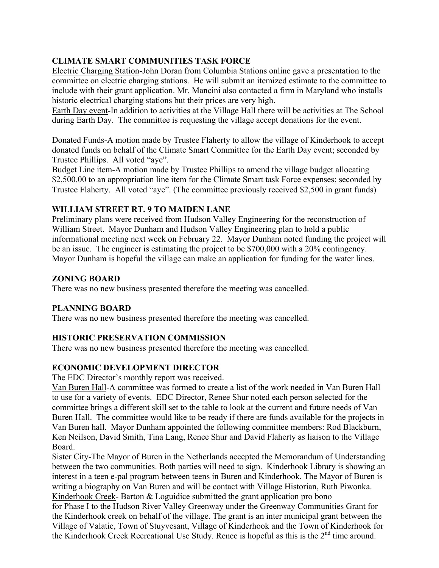# **CLIMATE SMART COMMUNITIES TASK FORCE**

Electric Charging Station-John Doran from Columbia Stations online gave a presentation to the committee on electric charging stations. He will submit an itemized estimate to the committee to include with their grant application. Mr. Mancini also contacted a firm in Maryland who installs historic electrical charging stations but their prices are very high.

Earth Day event-In addition to activities at the Village Hall there will be activities at The School during Earth Day. The committee is requesting the village accept donations for the event.

Donated Funds-A motion made by Trustee Flaherty to allow the village of Kinderhook to accept donated funds on behalf of the Climate Smart Committee for the Earth Day event; seconded by Trustee Phillips. All voted "aye".

Budget Line item-A motion made by Trustee Phillips to amend the village budget allocating \$2,500.00 to an appropriation line item for the Climate Smart task Force expenses; seconded by Trustee Flaherty. All voted "aye". (The committee previously received \$2,500 in grant funds)

# **WILLIAM STREET RT. 9 TO MAIDEN LANE**

Preliminary plans were received from Hudson Valley Engineering for the reconstruction of William Street. Mayor Dunham and Hudson Valley Engineering plan to hold a public informational meeting next week on February 22. Mayor Dunham noted funding the project will be an issue. The engineer is estimating the project to be \$700,000 with a 20% contingency. Mayor Dunham is hopeful the village can make an application for funding for the water lines.

# **ZONING BOARD**

There was no new business presented therefore the meeting was cancelled.

## **PLANNING BOARD**

There was no new business presented therefore the meeting was cancelled.

## **HISTORIC PRESERVATION COMMISSION**

There was no new business presented therefore the meeting was cancelled.

# **ECONOMIC DEVELOPMENT DIRECTOR**

The EDC Director's monthly report was received.

Van Buren Hall-A committee was formed to create a list of the work needed in Van Buren Hall to use for a variety of events. EDC Director, Renee Shur noted each person selected for the committee brings a different skill set to the table to look at the current and future needs of Van Buren Hall. The committee would like to be ready if there are funds available for the projects in Van Buren hall. Mayor Dunham appointed the following committee members: Rod Blackburn, Ken Neilson, David Smith, Tina Lang, Renee Shur and David Flaherty as liaison to the Village Board.

Sister City-The Mayor of Buren in the Netherlands accepted the Memorandum of Understanding between the two communities. Both parties will need to sign. Kinderhook Library is showing an interest in a teen e-pal program between teens in Buren and Kinderhook. The Mayor of Buren is writing a biography on Van Buren and will be contact with Village Historian, Ruth Piwonka. Kinderhook Creek- Barton & Loguidice submitted the grant application pro bono

for Phase I to the Hudson River Valley Greenway under the Greenway Communities Grant for the Kinderhook creek on behalf of the village. The grant is an inter municipal grant between the Village of Valatie, Town of Stuyvesant, Village of Kinderhook and the Town of Kinderhook for the Kinderhook Creek Recreational Use Study. Renee is hopeful as this is the  $2<sup>nd</sup>$  time around.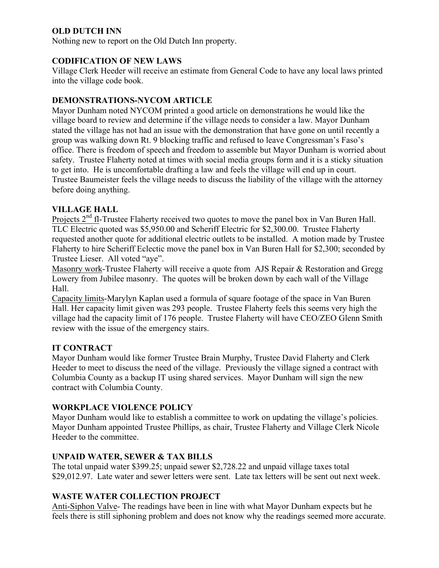# **OLD DUTCH INN**

Nothing new to report on the Old Dutch Inn property.

## **CODIFICATION OF NEW LAWS**

Village Clerk Heeder will receive an estimate from General Code to have any local laws printed into the village code book.

## **DEMONSTRATIONS-NYCOM ARTICLE**

Mayor Dunham noted NYCOM printed a good article on demonstrations he would like the village board to review and determine if the village needs to consider a law. Mayor Dunham stated the village has not had an issue with the demonstration that have gone on until recently a group was walking down Rt. 9 blocking traffic and refused to leave Congressman's Faso's office. There is freedom of speech and freedom to assemble but Mayor Dunham is worried about safety. Trustee Flaherty noted at times with social media groups form and it is a sticky situation to get into. He is uncomfortable drafting a law and feels the village will end up in court. Trustee Baumeister feels the village needs to discuss the liability of the village with the attorney before doing anything.

# **VILLAGE HALL**

Projects  $2<sup>nd</sup>$  fl-Trustee Flaherty received two quotes to move the panel box in Van Buren Hall. TLC Electric quoted was \$5,950.00 and Scheriff Electric for \$2,300.00. Trustee Flaherty requested another quote for additional electric outlets to be installed. A motion made by Trustee Flaherty to hire Scheriff Eclectic move the panel box in Van Buren Hall for \$2,300; seconded by Trustee Lieser. All voted "aye".

Masonry work-Trustee Flaherty will receive a quote from AJS Repair & Restoration and Gregg Lowery from Jubilee masonry. The quotes will be broken down by each wall of the Village Hall.

Capacity limits-Marylyn Kaplan used a formula of square footage of the space in Van Buren Hall. Her capacity limit given was 293 people. Trustee Flaherty feels this seems very high the village had the capacity limit of 176 people. Trustee Flaherty will have CEO/ZEO Glenn Smith review with the issue of the emergency stairs.

## **IT CONTRACT**

Mayor Dunham would like former Trustee Brain Murphy, Trustee David Flaherty and Clerk Heeder to meet to discuss the need of the village. Previously the village signed a contract with Columbia County as a backup IT using shared services. Mayor Dunham will sign the new contract with Columbia County.

## **WORKPLACE VIOLENCE POLICY**

Mayor Dunham would like to establish a committee to work on updating the village's policies. Mayor Dunham appointed Trustee Phillips, as chair, Trustee Flaherty and Village Clerk Nicole Heeder to the committee.

## **UNPAID WATER, SEWER & TAX BILLS**

The total unpaid water \$399.25; unpaid sewer \$2,728.22 and unpaid village taxes total \$29,012.97. Late water and sewer letters were sent. Late tax letters will be sent out next week.

# **WASTE WATER COLLECTION PROJECT**

Anti-Siphon Valve- The readings have been in line with what Mayor Dunham expects but he feels there is still siphoning problem and does not know why the readings seemed more accurate.